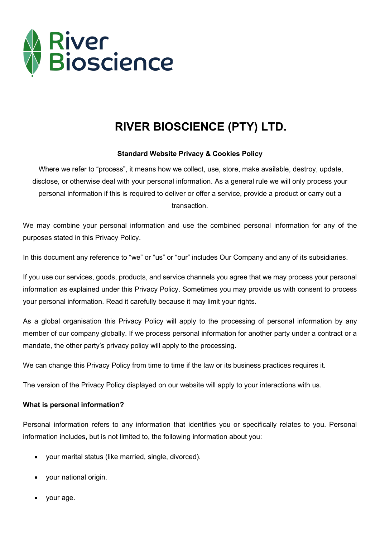

# **RIVER BIOSCIENCE (PTY) LTD.**

## **Standard Website Privacy & Cookies Policy**

Where we refer to "process", it means how we collect, use, store, make available, destroy, update, disclose, or otherwise deal with your personal information. As a general rule we will only process your personal information if this is required to deliver or offer a service, provide a product or carry out a transaction.

We may combine your personal information and use the combined personal information for any of the purposes stated in this Privacy Policy.

In this document any reference to "we" or "us" or "our" includes Our Company and any of its subsidiaries.

If you use our services, goods, products, and service channels you agree that we may process your personal information as explained under this Privacy Policy. Sometimes you may provide us with consent to process your personal information. Read it carefully because it may limit your rights.

As a global organisation this Privacy Policy will apply to the processing of personal information by any member of our company globally. If we process personal information for another party under a contract or a mandate, the other party's privacy policy will apply to the processing.

We can change this Privacy Policy from time to time if the law or its business practices requires it.

The version of the Privacy Policy displayed on our website will apply to your interactions with us.

#### **What is personal information?**

Personal information refers to any information that identifies you or specifically relates to you. Personal information includes, but is not limited to, the following information about you:

- your marital status (like married, single, divorced).
- your national origin.
- your age.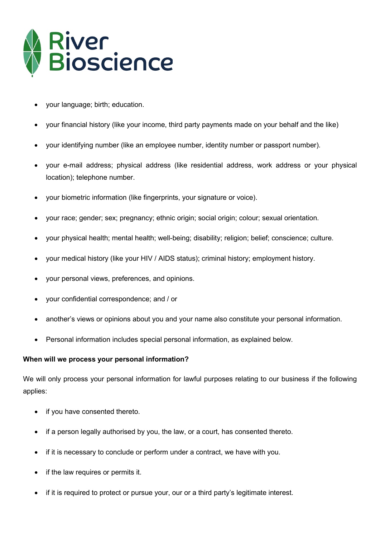

- your language; birth; education.
- your financial history (like your income, third party payments made on your behalf and the like)
- your identifying number (like an employee number, identity number or passport number).
- your e-mail address; physical address (like residential address, work address or your physical location); telephone number.
- your biometric information (like fingerprints, your signature or voice).
- your race; gender; sex; pregnancy; ethnic origin; social origin; colour; sexual orientation.
- your physical health; mental health; well-being; disability; religion; belief; conscience; culture.
- your medical history (like your HIV / AIDS status); criminal history; employment history.
- your personal views, preferences, and opinions.
- your confidential correspondence; and / or
- another's views or opinions about you and your name also constitute your personal information.
- Personal information includes special personal information, as explained below.

#### **When will we process your personal information?**

We will only process your personal information for lawful purposes relating to our business if the following applies:

- if you have consented thereto.
- if a person legally authorised by you, the law, or a court, has consented thereto.
- if it is necessary to conclude or perform under a contract, we have with you.
- if the law requires or permits it.
- if it is required to protect or pursue your, our or a third party's legitimate interest.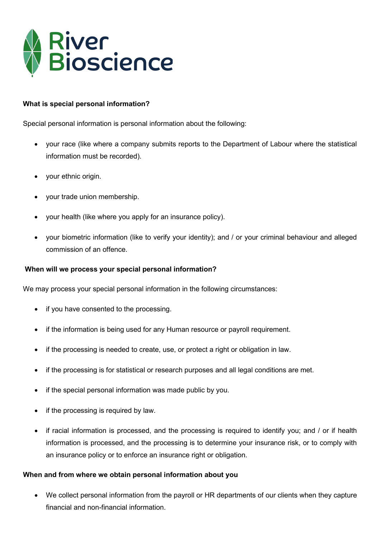

## **What is special personal information?**

Special personal information is personal information about the following:

- your race (like where a company submits reports to the Department of Labour where the statistical information must be recorded).
- your ethnic origin.
- your trade union membership.
- your health (like where you apply for an insurance policy).
- your biometric information (like to verify your identity); and / or your criminal behaviour and alleged commission of an offence.

#### **When will we process your special personal information?**

We may process your special personal information in the following circumstances:

- if you have consented to the processing.
- if the information is being used for any Human resource or payroll requirement.
- if the processing is needed to create, use, or protect a right or obligation in law.
- if the processing is for statistical or research purposes and all legal conditions are met.
- if the special personal information was made public by you.
- if the processing is required by law.
- if racial information is processed, and the processing is required to identify you; and / or if health information is processed, and the processing is to determine your insurance risk, or to comply with an insurance policy or to enforce an insurance right or obligation.

#### **When and from where we obtain personal information about you**

• We collect personal information from the payroll or HR departments of our clients when they capture financial and non-financial information.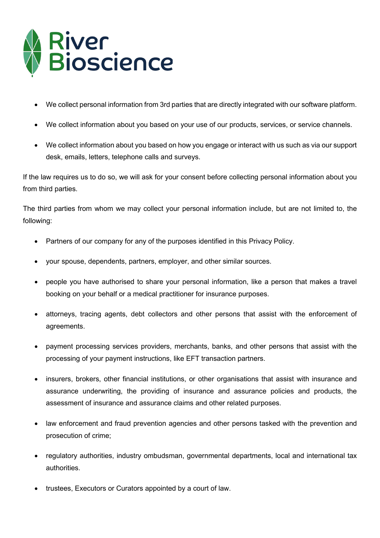

- We collect personal information from 3rd parties that are directly integrated with our software platform.
- We collect information about you based on your use of our products, services, or service channels.
- We collect information about you based on how you engage or interact with us such as via our support desk, emails, letters, telephone calls and surveys.

If the law requires us to do so, we will ask for your consent before collecting personal information about you from third parties.

The third parties from whom we may collect your personal information include, but are not limited to, the following:

- Partners of our company for any of the purposes identified in this Privacy Policy.
- your spouse, dependents, partners, employer, and other similar sources.
- people you have authorised to share your personal information, like a person that makes a travel booking on your behalf or a medical practitioner for insurance purposes.
- attorneys, tracing agents, debt collectors and other persons that assist with the enforcement of agreements.
- payment processing services providers, merchants, banks, and other persons that assist with the processing of your payment instructions, like EFT transaction partners.
- insurers, brokers, other financial institutions, or other organisations that assist with insurance and assurance underwriting, the providing of insurance and assurance policies and products, the assessment of insurance and assurance claims and other related purposes.
- law enforcement and fraud prevention agencies and other persons tasked with the prevention and prosecution of crime;
- regulatory authorities, industry ombudsman, governmental departments, local and international tax authorities.
- trustees, Executors or Curators appointed by a court of law.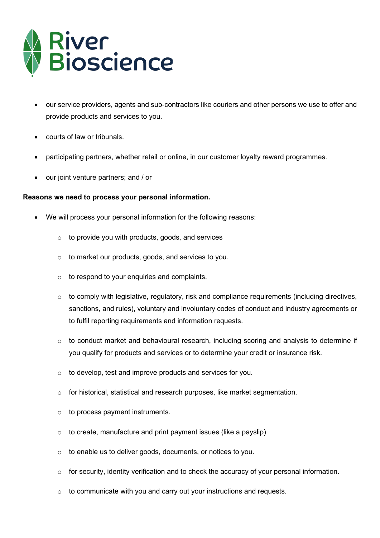

- our service providers, agents and sub-contractors like couriers and other persons we use to offer and provide products and services to you.
- courts of law or tribunals.
- participating partners, whether retail or online, in our customer loyalty reward programmes.
- our joint venture partners; and / or

#### **Reasons we need to process your personal information.**

- We will process your personal information for the following reasons:
	- $\circ$  to provide you with products, goods, and services
	- o to market our products, goods, and services to you.
	- $\circ$  to respond to your enquiries and complaints.
	- o to comply with legislative, regulatory, risk and compliance requirements (including directives, sanctions, and rules), voluntary and involuntary codes of conduct and industry agreements or to fulfil reporting requirements and information requests.
	- o to conduct market and behavioural research, including scoring and analysis to determine if you qualify for products and services or to determine your credit or insurance risk.
	- o to develop, test and improve products and services for you.
	- o for historical, statistical and research purposes, like market segmentation.
	- $\circ$  to process payment instruments.
	- $\circ$  to create, manufacture and print payment issues (like a payslip)
	- o to enable us to deliver goods, documents, or notices to you.
	- o for security, identity verification and to check the accuracy of your personal information.
	- $\circ$  to communicate with you and carry out your instructions and requests.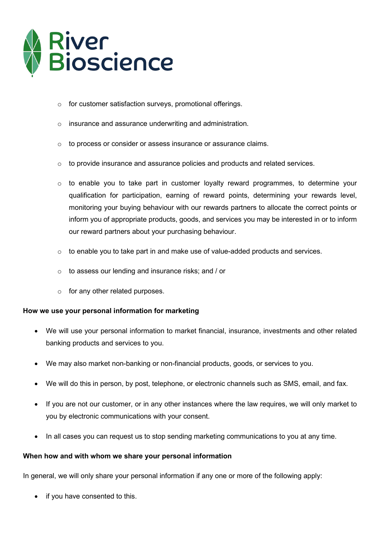

- o for customer satisfaction surveys, promotional offerings.
- o insurance and assurance underwriting and administration.
- o to process or consider or assess insurance or assurance claims.
- $\circ$  to provide insurance and assurance policies and products and related services.
- $\circ$  to enable you to take part in customer loyalty reward programmes, to determine your qualification for participation, earning of reward points, determining your rewards level, monitoring your buying behaviour with our rewards partners to allocate the correct points or inform you of appropriate products, goods, and services you may be interested in or to inform our reward partners about your purchasing behaviour.
- $\circ$  to enable you to take part in and make use of value-added products and services.
- o to assess our lending and insurance risks; and / or
- $\circ$  for any other related purposes.

#### **How we use your personal information for marketing**

- We will use your personal information to market financial, insurance, investments and other related banking products and services to you.
- We may also market non-banking or non-financial products, goods, or services to you.
- We will do this in person, by post, telephone, or electronic channels such as SMS, email, and fax.
- If you are not our customer, or in any other instances where the law requires, we will only market to you by electronic communications with your consent.
- In all cases you can request us to stop sending marketing communications to you at any time.

#### **When how and with whom we share your personal information**

In general, we will only share your personal information if any one or more of the following apply:

• if you have consented to this.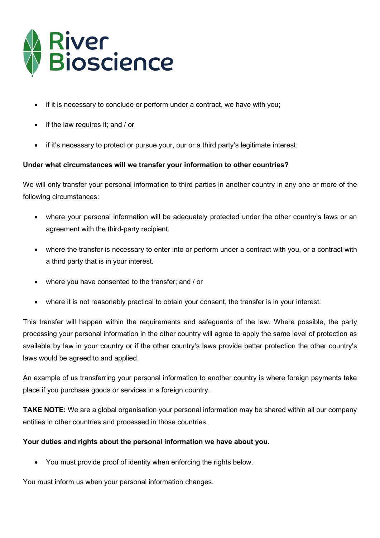

- if it is necessary to conclude or perform under a contract, we have with you;
- if the law requires it; and / or
- if it's necessary to protect or pursue your, our or a third party's legitimate interest.

# **Under what circumstances will we transfer your information to other countries?**

We will only transfer your personal information to third parties in another country in any one or more of the following circumstances:

- where your personal information will be adequately protected under the other country's laws or an agreement with the third-party recipient.
- where the transfer is necessary to enter into or perform under a contract with you, or a contract with a third party that is in your interest.
- where you have consented to the transfer; and / or
- where it is not reasonably practical to obtain your consent, the transfer is in your interest.

This transfer will happen within the requirements and safeguards of the law. Where possible, the party processing your personal information in the other country will agree to apply the same level of protection as available by law in your country or if the other country's laws provide better protection the other country's laws would be agreed to and applied.

An example of us transferring your personal information to another country is where foreign payments take place if you purchase goods or services in a foreign country.

**TAKE NOTE:** We are a global organisation your personal information may be shared within all our company entities in other countries and processed in those countries.

## **Your duties and rights about the personal information we have about you.**

• You must provide proof of identity when enforcing the rights below.

You must inform us when your personal information changes.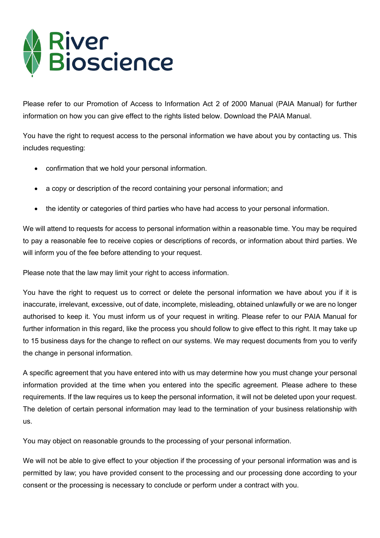

Please refer to our Promotion of Access to Information Act 2 of 2000 Manual (PAIA Manual) for further information on how you can give effect to the rights listed below. Download the PAIA Manual.

You have the right to request access to the personal information we have about you by contacting us. This includes requesting:

- confirmation that we hold your personal information.
- a copy or description of the record containing your personal information; and
- the identity or categories of third parties who have had access to your personal information.

We will attend to requests for access to personal information within a reasonable time. You may be required to pay a reasonable fee to receive copies or descriptions of records, or information about third parties. We will inform you of the fee before attending to your request.

Please note that the law may limit your right to access information.

You have the right to request us to correct or delete the personal information we have about you if it is inaccurate, irrelevant, excessive, out of date, incomplete, misleading, obtained unlawfully or we are no longer authorised to keep it. You must inform us of your request in writing. Please refer to our PAIA Manual for further information in this regard, like the process you should follow to give effect to this right. It may take up to 15 business days for the change to reflect on our systems. We may request documents from you to verify the change in personal information.

A specific agreement that you have entered into with us may determine how you must change your personal information provided at the time when you entered into the specific agreement. Please adhere to these requirements. If the law requires us to keep the personal information, it will not be deleted upon your request. The deletion of certain personal information may lead to the termination of your business relationship with us.

You may object on reasonable grounds to the processing of your personal information.

We will not be able to give effect to your objection if the processing of your personal information was and is permitted by law; you have provided consent to the processing and our processing done according to your consent or the processing is necessary to conclude or perform under a contract with you.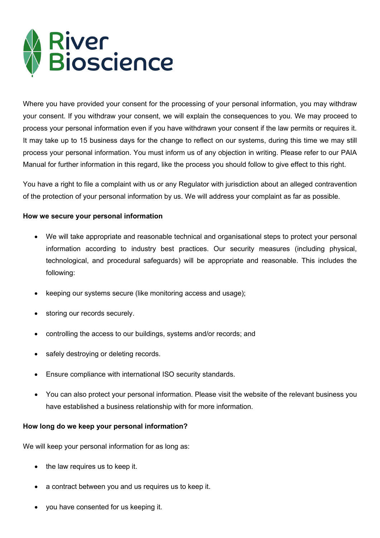

Where you have provided your consent for the processing of your personal information, you may withdraw your consent. If you withdraw your consent, we will explain the consequences to you. We may proceed to process your personal information even if you have withdrawn your consent if the law permits or requires it. It may take up to 15 business days for the change to reflect on our systems, during this time we may still process your personal information. You must inform us of any objection in writing. Please refer to our PAIA Manual for further information in this regard, like the process you should follow to give effect to this right.

You have a right to file a complaint with us or any Regulator with jurisdiction about an alleged contravention of the protection of your personal information by us. We will address your complaint as far as possible.

## **How we secure your personal information**

- We will take appropriate and reasonable technical and organisational steps to protect your personal information according to industry best practices. Our security measures (including physical, technological, and procedural safeguards) will be appropriate and reasonable. This includes the following:
- keeping our systems secure (like monitoring access and usage);
- storing our records securely.
- controlling the access to our buildings, systems and/or records; and
- safely destroying or deleting records.
- Ensure compliance with international ISO security standards.
- You can also protect your personal information. Please visit the website of the relevant business you have established a business relationship with for more information.

#### **How long do we keep your personal information?**

We will keep your personal information for as long as:

- the law requires us to keep it.
- a contract between you and us requires us to keep it.
- you have consented for us keeping it.